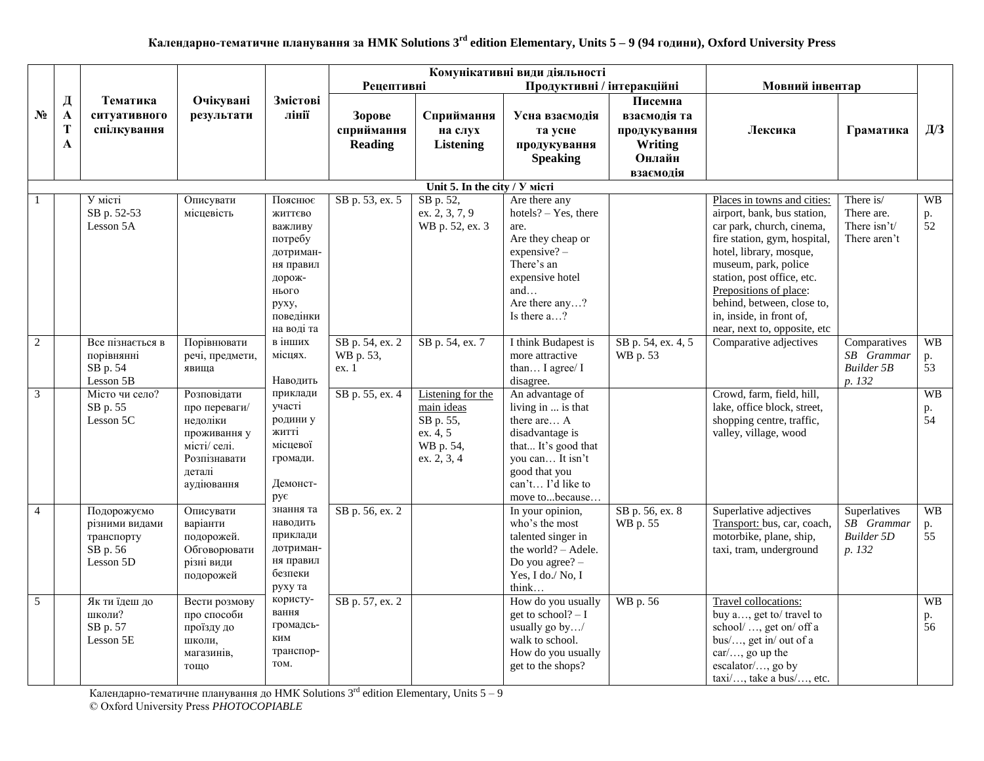|                |                            |                                                                      |                                                                                                                  |                                                                                                  |                                        |                                                                                      | Комунікативні види діяльності                                                                                                                                              |                                                           |                                                                                                                                                                                                                                                               |                                                           |                          |
|----------------|----------------------------|----------------------------------------------------------------------|------------------------------------------------------------------------------------------------------------------|--------------------------------------------------------------------------------------------------|----------------------------------------|--------------------------------------------------------------------------------------|----------------------------------------------------------------------------------------------------------------------------------------------------------------------------|-----------------------------------------------------------|---------------------------------------------------------------------------------------------------------------------------------------------------------------------------------------------------------------------------------------------------------------|-----------------------------------------------------------|--------------------------|
|                |                            |                                                                      |                                                                                                                  |                                                                                                  | <b>Рецептивні</b>                      |                                                                                      | Продуктивні / інтеракційні                                                                                                                                                 |                                                           | Мовний інвентар                                                                                                                                                                                                                                               |                                                           |                          |
| $N_2$          | Д<br>$\mathbf A$<br>T<br>A | Тематика<br>ситуативного<br>спілкування                              | Очікувані<br>результати                                                                                          | Змістові<br>лінії                                                                                | Зорове<br>сприймання<br><b>Reading</b> | Сприймання<br>на слух<br><b>Listening</b>                                            | Усна взаємодія<br>та усне<br>продукування                                                                                                                                  | Писемна<br>взаємолія та<br>продукування<br><b>Writing</b> | Лексика                                                                                                                                                                                                                                                       | Граматика                                                 | $\Box\hspace{-1.2em}1/3$ |
|                |                            |                                                                      |                                                                                                                  |                                                                                                  |                                        |                                                                                      | <b>Speaking</b>                                                                                                                                                            | Онлайн                                                    |                                                                                                                                                                                                                                                               |                                                           |                          |
|                |                            |                                                                      |                                                                                                                  |                                                                                                  |                                        | Unit 5. In the city / Y micri                                                        |                                                                                                                                                                            | взаємодія                                                 |                                                                                                                                                                                                                                                               |                                                           |                          |
| $\mathbf{1}$   |                            | У місті                                                              | Описувати                                                                                                        | Пояснює                                                                                          | SB p. 53, ex. 5                        | SB p. 52,                                                                            | Are there any                                                                                                                                                              |                                                           | Places in towns and cities:                                                                                                                                                                                                                                   | There is/                                                 | <b>WB</b>                |
|                |                            | SB p. 52-53<br>Lesson 5A                                             | місцевість                                                                                                       | життєво<br>важливу<br>потребу<br>дотриман-<br>ня правил<br>дорож-<br>нього<br>руху,<br>поведінки |                                        | ex. 2, 3, 7, 9<br>WB p. 52, ex. 3                                                    | $hotels? - Yes, there$<br>are.<br>Are they cheap or<br>$expensive? -$<br>There's an<br>expensive hotel<br>and<br>Are there any?<br>Is there a?                             |                                                           | airport, bank, bus station,<br>car park, church, cinema,<br>fire station, gym, hospital,<br>hotel, library, mosque,<br>museum, park, police<br>station, post office, etc.<br>Prepositions of place:<br>behind, between, close to,<br>in, inside, in front of, | There are.<br>There isn't/<br>There aren't                | p.<br>52                 |
| $\overline{2}$ |                            | Все пізнається в<br>порівнянні<br>SB p. 54<br>Lesson 5B              | Порівнювати<br>речі, предмети,<br>явища                                                                          | на воді та<br>в інших<br>місцях.<br>Наводить                                                     | SB p. 54, ex. 2<br>WB p. 53,<br>ex. 1  | SB p. 54, ex. 7                                                                      | I think Budapest is<br>more attractive<br>than I agree/ I<br>disagree.                                                                                                     | SB p. 54, ex. 4, 5<br>WB p. 53                            | near, next to, opposite, etc<br>Comparative adjectives                                                                                                                                                                                                        | Comparatives<br>SB Grammar<br><b>Builder 5B</b><br>p. 132 | <b>WB</b><br>p.<br>53    |
| $\mathfrak{Z}$ |                            | Місто чи село?<br>SB p. 55<br>Lesson 5C                              | Розповідати<br>про переваги/<br>недоліки<br>проживання у<br>місті/ селі.<br>Розпізнавати<br>деталі<br>аудіювання | приклади<br>участі<br>родини у<br>житті<br>місцевої<br>громади.<br>Демонст-<br>рує               | SB p. 55, ex. 4                        | Listening for the<br>main ideas<br>SB p. 55,<br>ex. 4, 5<br>WB p. 54,<br>ex. 2, 3, 4 | An advantage of<br>living in  is that<br>there are A<br>disadvantage is<br>that It's good that<br>you can It isn't<br>good that you<br>can't I'd like to<br>move tobecause |                                                           | Crowd, farm, field, hill,<br>lake, office block, street,<br>shopping centre, traffic,<br>valley, village, wood                                                                                                                                                |                                                           | <b>WB</b><br>p.<br>54    |
| $\overline{4}$ |                            | Подорожуємо<br>різними видами<br>транспорту<br>SB p. 56<br>Lesson 5D | Описувати<br>варіанти<br>подорожей.<br>Обговорювати<br>різні види<br>подорожей                                   | знання та<br>наводить<br>приклади<br>дотриман-<br>ня правил<br>безпеки<br>руху та                | SB p. 56, ex. 2                        |                                                                                      | In your opinion,<br>who's the most<br>talented singer in<br>the world? - Adele.<br>Do you agree? $-$<br>Yes, I do./ No, I<br>think                                         | SB p. 56, ex. 8<br>WB p. 55                               | Superlative adjectives<br>Transport: bus, car, coach,<br>motorbike, plane, ship,<br>taxi, tram, underground                                                                                                                                                   | Superlatives<br>SB Grammar<br><b>Builder 5D</b><br>p. 132 | <b>WB</b><br>p.<br>55    |
| 5              |                            | Як ти їдеш до<br>школи?<br>SB p. 57<br>Lesson 5E                     | Вести розмову<br>про способи<br>проїзду до<br>школи,<br>магазинів,<br>тощо                                       | користу-<br>вання<br>громадсь-<br>ким<br>транспор-<br>TOM.                                       | SB p. 57, ex. 2                        |                                                                                      | How do you usually<br>get to school? $- I$<br>usually go by/<br>walk to school.<br>How do you usually<br>get to the shops?                                                 | WB p. 56                                                  | Travel collocations:<br>buy a, get to/ travel to<br>school/ , get on/ off a<br>bus/, get in/ out of a<br>car/, go up the<br>escalator/, go by<br>taxi/, take a bus/, etc.                                                                                     |                                                           | <b>WB</b><br>p.<br>56    |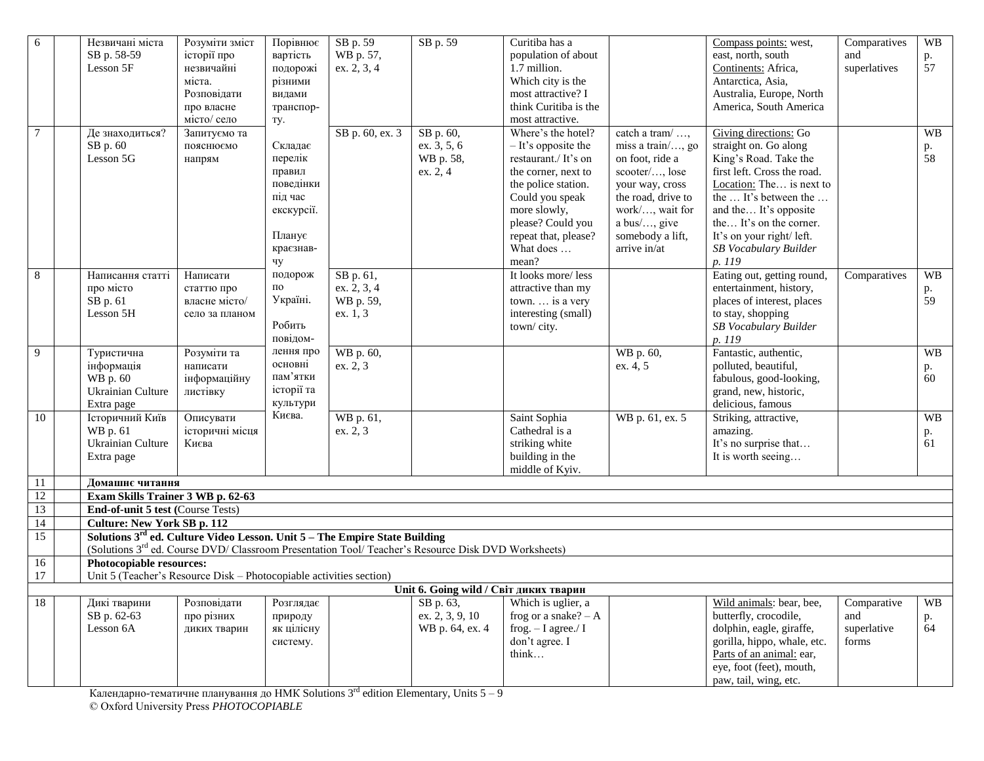| 6               | Незвичані міста                                                                        | Розуміти зміст  | Порівнює   | SB p. 59        | SB p. 59                                                                                                        | Curitiba has a         |                    | Compass points: west,       | Comparatives | <b>WB</b> |
|-----------------|----------------------------------------------------------------------------------------|-----------------|------------|-----------------|-----------------------------------------------------------------------------------------------------------------|------------------------|--------------------|-----------------------------|--------------|-----------|
|                 | SB p. 58-59                                                                            | історії про     | вартість   | WB p. 57,       |                                                                                                                 | population of about    |                    | east, north, south          | and          | p.        |
|                 | Lesson 5F                                                                              | незвичайні      | подорожі   | ex. 2, 3, 4     |                                                                                                                 | 1.7 million.           |                    | Continents: Africa,         | superlatives | 57        |
|                 |                                                                                        | міста.          | різними    |                 |                                                                                                                 | Which city is the      |                    | Antarctica, Asia,           |              |           |
|                 |                                                                                        | Розповідати     | видами     |                 |                                                                                                                 | most attractive? I     |                    | Australia, Europe, North    |              |           |
|                 |                                                                                        | про власне      | транспор-  |                 |                                                                                                                 | think Curitiba is the  |                    | America, South America      |              |           |
|                 |                                                                                        | місто/ село     | TY.        |                 |                                                                                                                 | most attractive.       |                    |                             |              |           |
| $\tau$          | Де знаходиться?                                                                        | Запитуємо та    |            | SB p. 60, ex. 3 | SB p. 60,                                                                                                       | Where's the hotel?     | catch a tram/      | Giving directions: Go       |              | <b>WB</b> |
|                 | SB p. 60                                                                               | пояснюємо       | Складає    |                 | ex. 3, 5, 6                                                                                                     | $-$ It's opposite the  | miss a train/, go  | straight on. Go along       |              |           |
|                 | Lesson 5G                                                                              | напрям          | перелік    |                 | WB p. 58,                                                                                                       | restaurant./ It's on   | on foot, ride a    | King's Road. Take the       |              | p.<br>58  |
|                 |                                                                                        |                 | правил     |                 | ex. 2, 4                                                                                                        | the corner, next to    | scooter/, lose     | first left. Cross the road. |              |           |
|                 |                                                                                        |                 | поведінки  |                 |                                                                                                                 | the police station.    | your way, cross    | Location: The is next to    |              |           |
|                 |                                                                                        |                 | під час    |                 |                                                                                                                 | Could you speak        | the road, drive to | the  It's between the       |              |           |
|                 |                                                                                        |                 | екскурсії. |                 |                                                                                                                 | more slowly,           | work/, wait for    | and the It's opposite       |              |           |
|                 |                                                                                        |                 |            |                 |                                                                                                                 | please? Could you      | a bus/, give       | the It's on the corner.     |              |           |
|                 |                                                                                        |                 | Планує     |                 |                                                                                                                 | repeat that, please?   | somebody a lift,   | It's on your right/ left.   |              |           |
|                 |                                                                                        |                 | краєзнав-  |                 |                                                                                                                 | What does              | arrive in/at       | SB Vocabulary Builder       |              |           |
|                 |                                                                                        |                 | чу         |                 |                                                                                                                 | mean?                  |                    | p. 119                      |              |           |
| 8               | Написання статті                                                                       | Написати        | подорож    | SB p. 61,       |                                                                                                                 | It looks more/less     |                    | Eating out, getting round,  | Comparatives | <b>WB</b> |
|                 | про місто                                                                              |                 | по         | ex. 2, 3, 4     |                                                                                                                 | attractive than my     |                    | entertainment, history,     |              |           |
|                 | SB p. 61                                                                               | статтю про      | Україні.   | WB p. 59,       |                                                                                                                 | town.  is a very       |                    | places of interest, places  |              | p.<br>59  |
|                 | Lesson 5H                                                                              | власне місто/   |            |                 |                                                                                                                 | interesting (small)    |                    |                             |              |           |
|                 |                                                                                        | село за планом  | Робить     | ex. 1, 3        |                                                                                                                 |                        |                    | to stay, shopping           |              |           |
|                 |                                                                                        |                 | повідом-   |                 |                                                                                                                 | town/city.             |                    | SB Vocabulary Builder       |              |           |
|                 |                                                                                        |                 | лення про  |                 |                                                                                                                 |                        |                    | p. 119                      |              |           |
| 9               | Туристична                                                                             | Розуміти та     | основні    | WB p. 60,       |                                                                                                                 |                        | WB p. 60,          | Fantastic, authentic,       |              | <b>WB</b> |
|                 | інформація                                                                             | написати        | пам'ятки   | ex. 2, 3        |                                                                                                                 |                        | ex. 4, 5           | polluted, beautiful,        |              | p.        |
|                 | WB p. 60                                                                               | інформаційну    | історії та |                 |                                                                                                                 |                        |                    | fabulous, good-looking,     |              | 60        |
|                 | Ukrainian Culture                                                                      | листівку        | культури   |                 |                                                                                                                 |                        |                    | grand, new, historic,       |              |           |
|                 | Extra page                                                                             |                 | Києва.     |                 |                                                                                                                 |                        |                    | delicious, famous           |              |           |
| 10              | Історичний Київ                                                                        | Описувати       |            | WB p. 61,       |                                                                                                                 | Saint Sophia           | WB p. 61, ex. 5    | Striking, attractive,       |              | <b>WB</b> |
|                 | WB p. 61                                                                               | історичні місця |            | ex. 2, 3        |                                                                                                                 | Cathedral is a         |                    | amazing.                    |              | p.        |
|                 | Ukrainian Culture                                                                      | Києва           |            |                 |                                                                                                                 | striking white         |                    | It's no surprise that       |              | 61        |
|                 | Extra page                                                                             |                 |            |                 |                                                                                                                 | building in the        |                    | It is worth seeing          |              |           |
|                 |                                                                                        |                 |            |                 |                                                                                                                 | middle of Kyiv.        |                    |                             |              |           |
| 11              | Домашнє читання                                                                        |                 |            |                 |                                                                                                                 |                        |                    |                             |              |           |
| 12              | Exam Skills Trainer 3 WB p. 62-63                                                      |                 |            |                 |                                                                                                                 |                        |                    |                             |              |           |
| 13              | End-of-unit 5 test (Course Tests)                                                      |                 |            |                 |                                                                                                                 |                        |                    |                             |              |           |
| $\overline{14}$ | <b>Culture: New York SB p. 112</b>                                                     |                 |            |                 |                                                                                                                 |                        |                    |                             |              |           |
| $\overline{15}$ | Solutions 3 <sup>rd</sup> ed. Culture Video Lesson. Unit 5 - The Empire State Building |                 |            |                 |                                                                                                                 |                        |                    |                             |              |           |
|                 |                                                                                        |                 |            |                 | (Solutions 3 <sup>rd</sup> ed. Course DVD/ Classroom Presentation Tool/ Teacher's Resource Disk DVD Worksheets) |                        |                    |                             |              |           |
| 16              | Photocopiable resources:                                                               |                 |            |                 |                                                                                                                 |                        |                    |                             |              |           |
| 17              | Unit 5 (Teacher's Resource Disk – Photocopiable activities section)                    |                 |            |                 |                                                                                                                 |                        |                    |                             |              |           |
|                 |                                                                                        |                 |            |                 | Unit 6. Going wild / Світ ликих тварин                                                                          |                        |                    |                             |              |           |
| 18              | Дикі тварини                                                                           | Розповідати     | Розглядає  |                 | SB p. 63,                                                                                                       | Which is uglier, a     |                    | Wild animals: bear, bee,    | Comparative  | <b>WB</b> |
|                 | SB p. 62-63                                                                            | про різних      | природу    |                 | ex. 2, 3, 9, 10                                                                                                 | frog or a snake? $- A$ |                    | butterfly, crocodile,       | and          | р.<br>64  |
|                 | Lesson 6A                                                                              | диких тварин    | як цілісну |                 | WB p. 64, ex. 4                                                                                                 | frog. $-$ I agree./ I  |                    | dolphin, eagle, giraffe,    | superlative  |           |
|                 |                                                                                        |                 | систему.   |                 |                                                                                                                 | don't agree. I         |                    | gorilla, hippo, whale, etc. | forms        |           |
|                 |                                                                                        |                 |            |                 |                                                                                                                 | think                  |                    | Parts of an animal: ear,    |              |           |
|                 |                                                                                        |                 |            |                 |                                                                                                                 |                        |                    | eye, foot (feet), mouth,    |              |           |
|                 |                                                                                        |                 |            |                 |                                                                                                                 |                        |                    | paw, tail, wing, etc.       |              |           |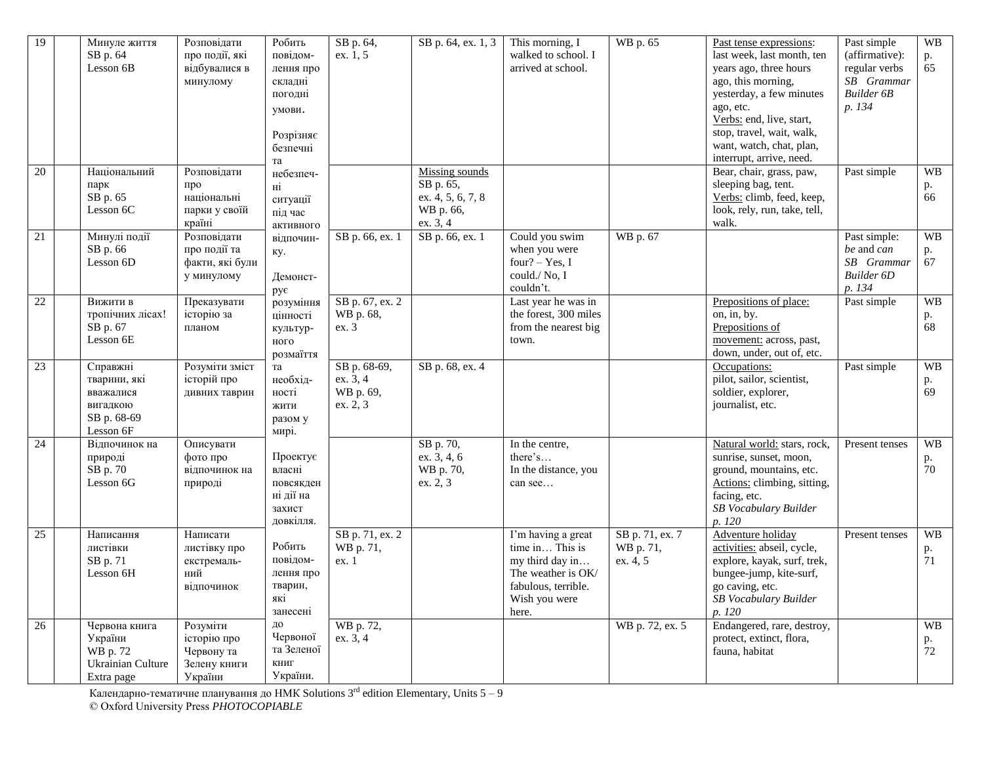| 19              | Минуле життя<br>SB p. 64<br>Lesson 6B                                         | Розповідати<br>про події, які<br>відбувалися в<br>минулому       | Робить<br>повідом-<br>лення про<br>складні<br>погодні<br>умови.<br>Розрізняє<br>безпечні<br>та | SB p. 64,<br>ex. 1, 5                             | SB p. 64, ex. 1, 3                                                        | This morning, I<br>walked to school. I<br>arrived at school.                                                                    | WB p. 65                                 | Past tense expressions:<br>last week, last month, ten<br>years ago, three hours<br>ago, this morning,<br>yesterday, a few minutes<br>ago, etc.<br>Verbs: end, live, start,<br>stop, travel, wait, walk,<br>want, watch, chat, plan,<br>interrupt, arrive, need. | Past simple<br>(affirmative):<br>regular verbs<br>SB Grammar<br><b>Builder 6B</b><br>p. 134 | <b>WB</b><br>p.<br>65 |
|-----------------|-------------------------------------------------------------------------------|------------------------------------------------------------------|------------------------------------------------------------------------------------------------|---------------------------------------------------|---------------------------------------------------------------------------|---------------------------------------------------------------------------------------------------------------------------------|------------------------------------------|-----------------------------------------------------------------------------------------------------------------------------------------------------------------------------------------------------------------------------------------------------------------|---------------------------------------------------------------------------------------------|-----------------------|
| 20              | Національний<br>парк<br>SB p. 65<br>Lesson 6C                                 | Розповідати<br>про<br>національні<br>парки у своїй<br>країні     | небезпеч-<br>нi<br>ситуації<br>під час<br>активного                                            |                                                   | Missing sounds<br>SB p. 65,<br>ex. 4, 5, 6, 7, 8<br>WB p. 66,<br>ex. 3, 4 |                                                                                                                                 |                                          | Bear, chair, grass, paw,<br>sleeping bag, tent.<br>Verbs: climb, feed, keep,<br>look, rely, run, take, tell,<br>walk.                                                                                                                                           | Past simple                                                                                 | <b>WB</b><br>p.<br>66 |
| 21              | Минулі події<br>SB p. 66<br>Lesson 6D                                         | Розповідати<br>про події та<br>факти, які були<br>у минулому     | відпочин-<br>кy.<br>Демонст-<br>рує                                                            | SB p. 66, ex. 1                                   | SB p. 66, ex. 1                                                           | Could you swim<br>when you were<br>four? $-$ Yes, I<br>could./ $No, I$<br>couldn't.                                             | WB p. 67                                 |                                                                                                                                                                                                                                                                 | Past simple:<br>be and can<br>SB Grammar<br><b>Builder 6D</b><br>p. 134                     | <b>WB</b><br>p.<br>67 |
| 22              | Вижити в<br>тропічних лісах!<br>SB p. 67<br>Lesson 6E                         | Преказувати<br>історію за<br>планом                              | розуміння<br>цінності<br>культур-<br>ного<br>розмаїття                                         | SB p. 67, ex. 2<br>WB p. 68,<br>ex. 3             |                                                                           | Last year he was in<br>the forest, 300 miles<br>from the nearest big<br>town.                                                   |                                          | Prepositions of place:<br>on, in, by.<br>Prepositions of<br>movement: across, past,<br>down, under, out of, etc.                                                                                                                                                | Past simple                                                                                 | <b>WB</b><br>p.<br>68 |
| 23              | Справжні<br>тварини, які<br>вважалися<br>вигадкою<br>SB p. 68-69<br>Lesson 6F | Розуміти зміст<br>історій про<br>дивних таврин                   | та<br>необхіл-<br>ності<br>жити<br>разом у<br>мирі.                                            | SB p. 68-69,<br>ex. 3, 4<br>WB p. 69,<br>ex. 2, 3 | SB p. 68, ex. 4                                                           |                                                                                                                                 |                                          | Occupations:<br>pilot, sailor, scientist,<br>soldier, explorer,<br>journalist, etc.                                                                                                                                                                             | Past simple                                                                                 | <b>WB</b><br>p.<br>69 |
| $\overline{24}$ | Відпочинок на<br>природі<br>SB p. 70<br>Lesson 6G                             | Описувати<br>фото про<br>відпочинок на<br>природі                | Проектує<br>власні<br>повсякден<br>ні дії на<br>захист<br>довкілля.                            |                                                   | SB p. 70,<br>ex. 3, 4, 6<br>WB p. 70,<br>ex. 2, 3                         | In the centre,<br>there's<br>In the distance, you<br>can see                                                                    |                                          | Natural world: stars, rock,<br>sunrise, sunset, moon,<br>ground, mountains, etc.<br>Actions: climbing, sitting,<br>facing, etc.<br>SB Vocabulary Builder<br>p. 120                                                                                              | Present tenses                                                                              | WB<br>p.<br>70        |
| 25              | Написання<br>листівки<br>SB p. 71<br>Lesson 6H                                | Написати<br>листівку про<br>екстремаль-<br>ний<br>відпочинок     | Робить<br>повідом-<br>лення про<br>тварин,<br>які<br>занесені                                  | SB p. 71, ex. 2<br>WB p. 71,<br>ex. 1             |                                                                           | I'm having a great<br>time in This is<br>my third day in<br>The weather is OK/<br>fabulous, terrible.<br>Wish you were<br>here. | SB p. 71, ex. 7<br>WB p. 71,<br>ex. 4, 5 | Adventure holiday<br>activities: abseil, cycle,<br>explore, kayak, surf, trek,<br>bungee-jump, kite-surf,<br>go caving, etc.<br>SB Vocabulary Builder<br>p. 120                                                                                                 | Present tenses                                                                              | <b>WB</b><br>p.<br>71 |
| 26              | Червона книга<br>України<br>WB p. 72<br>Ukrainian Culture<br>Extra page       | Розуміти<br>історію про<br>Червону та<br>Зелену книги<br>України | ДО<br>Червоної<br>та Зеленої<br>КНИГ<br>України.                                               | WB p. 72,<br>ex. 3, 4                             |                                                                           |                                                                                                                                 | WB p. 72, ex. 5                          | Endangered, rare, destroy,<br>protect, extinct, flora,<br>fauna, habitat                                                                                                                                                                                        |                                                                                             | <b>WB</b><br>p.<br>72 |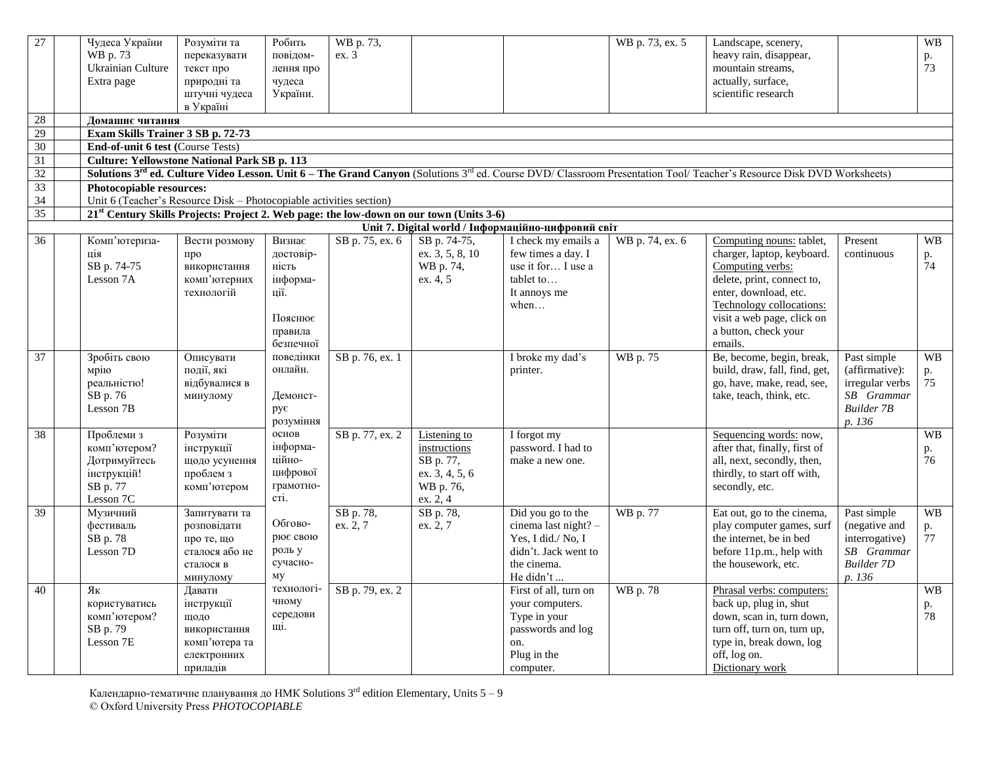| 27<br>$28\,$<br>29<br>30 | Чудеса України<br>WB p. 73<br>Ukrainian Culture<br>Extra page<br>Домашнє читання<br>Exam Skills Trainer 3 SB p. 72-73<br>End-of-unit 6 test (Course Tests) | Розуміти та<br>переказувати<br>текст про<br>природні та<br>штучні чудеса<br>в Україні    | Робить<br>повідом-<br>лення про<br>чудеса<br>України.                     | WB p. 73,<br>ex.3     |                                                                                      |                                                                                                                     | WB p. 73, ex. 5 | Landscape, scenery,<br>heavy rain, disappear,<br>mountain streams,<br>actually, surface,<br>scientific research                                                                                    |                                                                                                 | <b>WB</b><br>p.<br>73 |
|--------------------------|------------------------------------------------------------------------------------------------------------------------------------------------------------|------------------------------------------------------------------------------------------|---------------------------------------------------------------------------|-----------------------|--------------------------------------------------------------------------------------|---------------------------------------------------------------------------------------------------------------------|-----------------|----------------------------------------------------------------------------------------------------------------------------------------------------------------------------------------------------|-------------------------------------------------------------------------------------------------|-----------------------|
| $\overline{31}$          | <b>Culture: Yellowstone National Park SB p. 113</b>                                                                                                        |                                                                                          |                                                                           |                       |                                                                                      |                                                                                                                     |                 |                                                                                                                                                                                                    |                                                                                                 |                       |
| 32                       |                                                                                                                                                            |                                                                                          |                                                                           |                       |                                                                                      |                                                                                                                     |                 | Solutions 3rd ed. Culture Video Lesson. Unit 6 - The Grand Canyon (Solutions 3rd ed. Course DVD/ Classroom Presentation Tool/ Teacher's Resource Disk DVD Worksheets)                              |                                                                                                 |                       |
| 33                       | Photocopiable resources:                                                                                                                                   |                                                                                          |                                                                           |                       |                                                                                      |                                                                                                                     |                 |                                                                                                                                                                                                    |                                                                                                 |                       |
| 34                       | Unit 6 (Teacher's Resource Disk - Photocopiable activities section)                                                                                        |                                                                                          |                                                                           |                       |                                                                                      |                                                                                                                     |                 |                                                                                                                                                                                                    |                                                                                                 |                       |
| $\overline{35}$          | 21 <sup>st</sup> Century Skills Projects: Project 2. Web page: the low-down on our town (Units 3-6)                                                        |                                                                                          |                                                                           |                       |                                                                                      |                                                                                                                     |                 |                                                                                                                                                                                                    |                                                                                                 |                       |
| 36                       | Комп'ютериза-                                                                                                                                              | Вести розмову                                                                            | Визнає                                                                    | SB p. 75, ex. 6       | SB p. 74-75,                                                                         | Unit 7. Digital world / Інформаційно-цифровий світ<br>I check my emails a                                           | WB p. 74, ex. 6 | Computing nouns: tablet,                                                                                                                                                                           | Present                                                                                         | <b>WB</b>             |
|                          | ція<br>SB p. 74-75<br>Lesson 7A                                                                                                                            | про<br>використання<br>комп'ютерних<br>технологій                                        | достовір-<br>ність<br>інформа-<br>ції.<br>Пояснює<br>правила<br>безпечної |                       | ex. 3, 5, 8, 10<br>WB p. 74,<br>ex. 4, 5                                             | few times a day. I<br>use it for I use a<br>tablet to<br>It annoys me<br>when                                       |                 | charger, laptop, keyboard.<br>Computing verbs:<br>delete, print, connect to,<br>enter, download, etc.<br>Technology collocations:<br>visit a web page, click on<br>a button, check your<br>emails. | continuous                                                                                      | p.<br>74              |
| 37                       | Зробіть свою<br>мрію<br>реальністю!<br>SB p. 76<br>Lesson 7B                                                                                               | Описувати<br>події, які<br>відбувалися в<br>минулому                                     | поведінки<br>онлайн.<br>Демонст-<br>рує<br>розуміння                      | SB p. 76, ex. 1       |                                                                                      | I broke my dad's<br>printer.                                                                                        | WB p. 75        | Be, become, begin, break,<br>build, draw, fall, find, get,<br>go, have, make, read, see,<br>take, teach, think, etc.                                                                               | Past simple<br>(affirmative):<br>irregular verbs<br>$SB$ Grammar<br><b>Builder 7B</b><br>p. 136 | <b>WB</b><br>p.<br>75 |
| 38                       | Проблеми з<br>комп'ютером?<br>Дотримуйтесь<br>інструкцій!<br>SB p. 77<br>Lesson 7C                                                                         | Розуміти<br>інструкції<br>щодо усунення<br>проблем з<br>комп'ютером                      | основ<br>інформа-<br>ційно-<br>цифрової<br>грамотно-<br>cri.              | SB p. 77, ex. 2       | Listening to<br>instructions<br>SB p. 77,<br>ex. 3, 4, 5, 6<br>WB p. 76,<br>ex. 2, 4 | I forgot my<br>password. I had to<br>make a new one.                                                                |                 | Sequencing words: now,<br>after that, finally, first of<br>all, next, secondly, then,<br>thirdly, to start off with,<br>secondly, etc.                                                             |                                                                                                 | <b>WB</b><br>p.<br>76 |
| 39                       | Музичний<br>фестиваль<br>SB p. 78<br>Lesson 7D                                                                                                             | Запитувати та<br>розповідати<br>про те, що<br>сталося або не<br>сталося в<br>минулому    | Обгово-<br>рює свою<br>роль у<br>сучасно-<br>MV                           | SB p. 78,<br>ex. 2, 7 | SB p. 78,<br>ex. 2, 7                                                                | Did you go to the<br>cinema last night? -<br>Yes, I did./ No, I<br>didn't. Jack went to<br>the cinema.<br>He didn't | WB p. 77        | Eat out, go to the cinema,<br>play computer games, surf<br>the internet, be in bed<br>before 11p.m., help with<br>the housework, etc.                                                              | Past simple<br>(negative and<br>interrogative)<br>SB Grammar<br><b>Builder 7D</b><br>p. 136     | <b>WB</b><br>p.<br>77 |
| 40                       | Як<br>користуватись<br>комп'ютером?<br>SB p. 79<br>Lesson 7E                                                                                               | Давати<br>інструкції<br>щодо<br>використання<br>комп'ютера та<br>електронних<br>приладів | технологі-<br>чному<br>середови<br>щi.                                    | SB p. 79, ex. 2       |                                                                                      | First of all, turn on<br>your computers.<br>Type in your<br>passwords and log<br>on.<br>Plug in the<br>computer.    | WB p. 78        | Phrasal verbs: computers:<br>back up, plug in, shut<br>down, scan in, turn down,<br>turn off, turn on, turn up,<br>type in, break down, log<br>off, log on.<br>Dictionary work                     |                                                                                                 | <b>WB</b><br>p.<br>78 |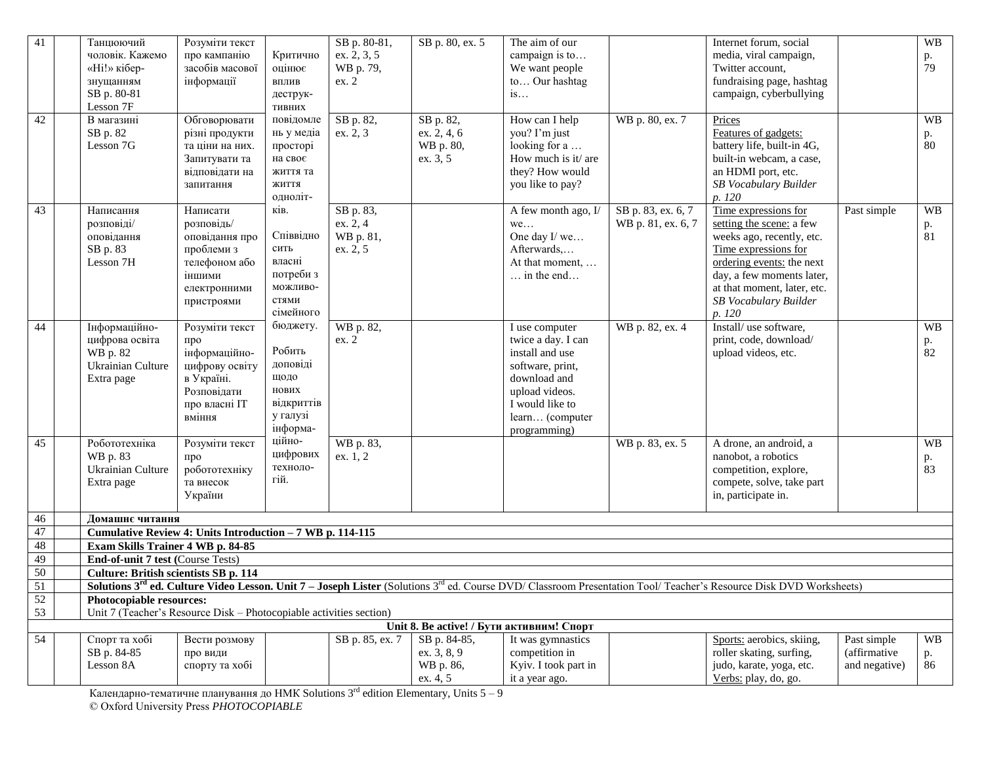| 41              | Танцюючий<br>чоловік. Кажемо<br>«Ні!» кібер-<br>знущанням<br>SB p. 80-81                        | Розуміти текст<br>про кампанію<br>засобів масової<br>інформації                                                  | Критично<br>оцінює<br>ВПЛИВ<br>деструк-                                                        | SB p. 80-81,<br>ex. 2, 3, 5<br>WB p. 79,<br>ex. 2 | SB p. 80, ex. 5                                   | The aim of our<br>campaign is to<br>We want people<br>to Our hashtag<br>is                                                                                          |                                          | Internet forum, social<br>media, viral campaign,<br>Twitter account,<br>fundraising page, hashtag<br>campaign, cyberbullying                                                                                                                |                             | <b>WB</b><br>p.<br>79              |  |
|-----------------|-------------------------------------------------------------------------------------------------|------------------------------------------------------------------------------------------------------------------|------------------------------------------------------------------------------------------------|---------------------------------------------------|---------------------------------------------------|---------------------------------------------------------------------------------------------------------------------------------------------------------------------|------------------------------------------|---------------------------------------------------------------------------------------------------------------------------------------------------------------------------------------------------------------------------------------------|-----------------------------|------------------------------------|--|
| 42              | Lesson 7F<br>В магазині<br>SB p. 82<br>Lesson 7G                                                | Обговорювати<br>різні продукти<br>та ціни на них.<br>Запитувати та<br>відповідати на<br>запитання                | тивних<br>повідомле<br>нь у медіа<br>просторі<br>на своє<br>життя та<br>ЖИТТЯ                  | SB p. 82,<br>ex. 2, 3                             | SB p. 82,<br>ex. 2, 4, 6<br>WB p. 80,<br>ex. 3, 5 | How can I help<br>you? I'm just<br>looking for a<br>How much is it/ are<br>they? How would<br>you like to pay?                                                      | WB p. 80, ex. 7                          | Prices<br>Features of gadgets:<br>battery life, built-in 4G,<br>built-in webcam, a case,<br>an HDMI port, etc.<br>SB Vocabulary Builder                                                                                                     |                             | <b>WB</b><br>p.<br>80              |  |
| 43              | Написання<br>розповіді/<br>оповідання<br>SB p. 83<br>Lesson 7H                                  | Написати<br>розповідь/<br>оповідання про<br>проблеми з<br>телефоном або<br>іншими<br>електронними<br>пристроями  | одноліт-<br>ків.<br>Співвідно<br>сить<br>власні<br>потреби з<br>можливо-<br>стями<br>сімейного | SB p. 83,<br>ex. 2, 4<br>WB p. 81,<br>ex. 2, 5    |                                                   | A few month ago, $I$<br>we<br>One day I/we<br>Afterwards,<br>At that moment,<br>$\ldots$ in the end                                                                 | SB p. 83, ex. 6, 7<br>WB p. 81, ex. 6, 7 | p. 120<br>Time expressions for<br>setting the scene: a few<br>weeks ago, recently, etc.<br>Time expressions for<br>ordering events: the next<br>day, a few moments later,<br>at that moment, later, etc.<br>SB Vocabulary Builder<br>p. 120 | Past simple                 | <b>WB</b><br>p.<br>$\overline{81}$ |  |
| 44              | Інформаційно-<br>цифрова освіта<br>WB p. 82<br>Ukrainian Culture<br>Extra page                  | Розуміти текст<br>про<br>інформаційно-<br>цифрову освіту<br>в Україні.<br>Розповідати<br>про власні IT<br>вміння | бюджету.<br>Робить<br>доповіді<br>щодо<br>нових<br>відкриттів<br>у галузі<br>інформа-          | WB p. 82,<br>ex. 2                                |                                                   | I use computer<br>twice a day. I can<br>install and use<br>software, print,<br>download and<br>upload videos.<br>I would like to<br>learn (computer<br>programming) | WB p. 82, ex. 4                          | Install/ use software,<br>print, code, download/<br>upload videos, etc.                                                                                                                                                                     |                             | <b>WB</b><br>p.<br>82              |  |
| 45              | Робототехніка<br>WB p. 83<br>Ukrainian Culture<br>Extra page                                    | Розуміти текст<br>про<br>робототехніку<br>та внесок<br>України                                                   | ційно-<br>цифрових<br>техноло-<br>гій.                                                         | WB p. 83,<br>ex. 1, 2                             |                                                   |                                                                                                                                                                     | WB p. 83, ex. 5                          | A drone, an android, a<br>nanobot, a robotics<br>competition, explore,<br>compete, solve, take part<br>in, participate in.                                                                                                                  |                             | <b>WB</b><br>p.<br>83              |  |
| 46              | Домашнє читання                                                                                 |                                                                                                                  |                                                                                                |                                                   |                                                   |                                                                                                                                                                     |                                          |                                                                                                                                                                                                                                             |                             |                                    |  |
| 47              | Cumulative Review 4: Units Introduction - 7 WB p. 114-115                                       |                                                                                                                  |                                                                                                |                                                   |                                                   |                                                                                                                                                                     |                                          |                                                                                                                                                                                                                                             |                             |                                    |  |
| 48              | Exam Skills Trainer 4 WB p. 84-85                                                               |                                                                                                                  |                                                                                                |                                                   |                                                   |                                                                                                                                                                     |                                          |                                                                                                                                                                                                                                             |                             |                                    |  |
| 49              | End-of-unit 7 test (Course Tests)                                                               |                                                                                                                  |                                                                                                |                                                   |                                                   |                                                                                                                                                                     |                                          |                                                                                                                                                                                                                                             |                             |                                    |  |
| $\overline{50}$ | Culture: British scientists SB p. 114                                                           |                                                                                                                  |                                                                                                |                                                   |                                                   |                                                                                                                                                                     |                                          | <b>Solutions 3<sup>rd</sup> ed. Culture Video Lesson. Unit 7 – Joseph Lister</b> (Solutions 3 <sup>rd</sup> ed. Course DVD/ Classroom Presentation Tool/ Teacher's Resource Disk DVD Worksheets)                                            |                             |                                    |  |
| 51              |                                                                                                 |                                                                                                                  |                                                                                                |                                                   |                                                   |                                                                                                                                                                     |                                          |                                                                                                                                                                                                                                             |                             |                                    |  |
| 52<br>53        | Photocopiable resources:<br>Unit 7 (Teacher's Resource Disk – Photocopiable activities section) |                                                                                                                  |                                                                                                |                                                   |                                                   |                                                                                                                                                                     |                                          |                                                                                                                                                                                                                                             |                             |                                    |  |
|                 |                                                                                                 |                                                                                                                  |                                                                                                |                                                   |                                                   | Unit 8. Be active! / Бути активним! Спорт                                                                                                                           |                                          |                                                                                                                                                                                                                                             |                             |                                    |  |
| $\overline{54}$ | Спорт та хобі<br>SB p. 84-85                                                                    | Вести розмову<br>про види                                                                                        |                                                                                                | SB p. 85, ex. 7                                   | SB p. 84-85,<br>ex. 3, 8, 9                       | It was gymnastics<br>competition in                                                                                                                                 |                                          | Sports: aerobics, skiing,<br>roller skating, surfing,                                                                                                                                                                                       | Past simple<br>(affirmative | <b>WB</b><br>p.                    |  |
|                 | Lesson 8A                                                                                       | спорту та хобі                                                                                                   |                                                                                                |                                                   | WB p. 86,<br>ex. 4, 5                             | Kyiv. I took part in<br>it a year ago.                                                                                                                              |                                          | judo, karate, yoga, etc.<br>Verbs: play, do, go.                                                                                                                                                                                            | and negative)               | 86                                 |  |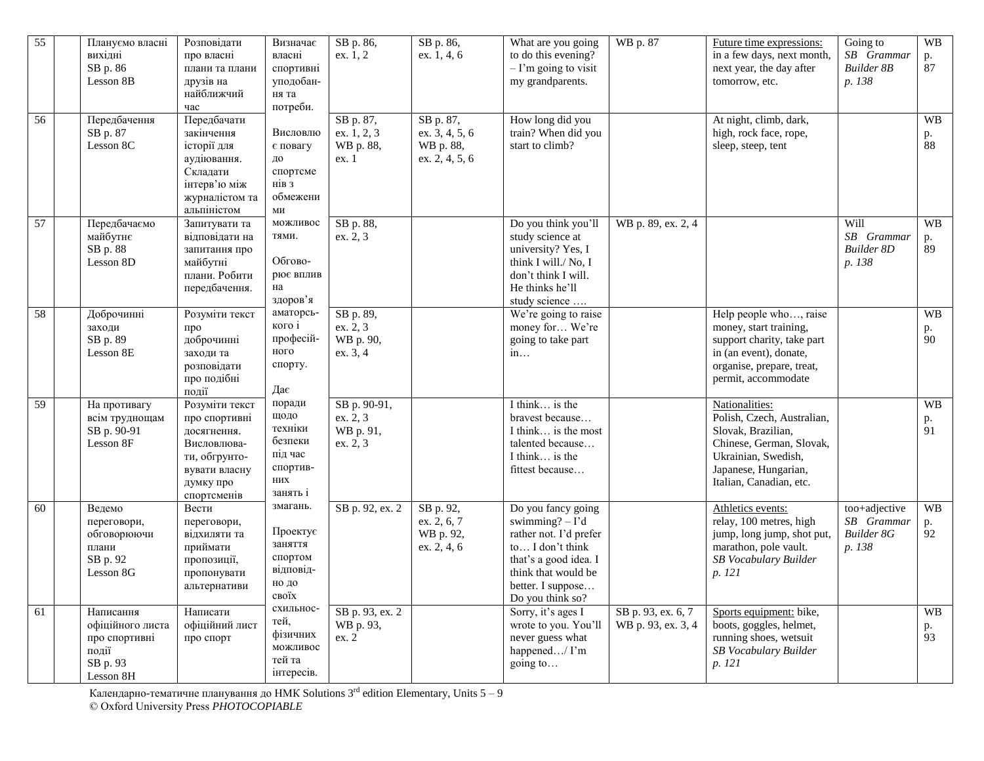| 55              | Плануємо власні<br>вихідні<br>SB p. 86<br>Lesson 8B                              | Розповідати<br>про власні<br>плани та плани<br>друзів на<br>найближчий<br>час                                               | Визначає<br>власні<br>спортивні<br>уподобан-<br>ня та<br>потреби.              | SB p. 86,<br>ex. 1, 2                             | SB p. 86,<br>ex. 1, 4, 6                                   | What are you going<br>to do this evening?<br>$-I'm$ going to visit<br>my grandparents.                                                                                        | WB p. 87                                 | Future time expressions:<br>in a few days, next month,<br>next year, the day after<br>tomorrow, etc.                                                                     | Going to<br>SB Grammar<br><b>Builder 8B</b><br>p. 138      | <b>WB</b><br>p.<br>87 |
|-----------------|----------------------------------------------------------------------------------|-----------------------------------------------------------------------------------------------------------------------------|--------------------------------------------------------------------------------|---------------------------------------------------|------------------------------------------------------------|-------------------------------------------------------------------------------------------------------------------------------------------------------------------------------|------------------------------------------|--------------------------------------------------------------------------------------------------------------------------------------------------------------------------|------------------------------------------------------------|-----------------------|
| $\overline{56}$ | Передбачення<br>SB p. 87<br>Lesson 8C                                            | Передбачати<br>закінчення<br>історії для<br>аудіювання.<br>Складати<br>інтерв'ю між<br>журналістом та<br>альпіністом        | Висловлю<br>є повагу<br>ДО<br>спортсме<br>нів з<br>обмежени<br>МИ              | SB p. 87,<br>ex. 1, 2, 3<br>WB p. 88,<br>ex. 1    | SB p. 87,<br>ex. 3, 4, 5, 6<br>WB p. 88,<br>ex. 2, 4, 5, 6 | How long did you<br>train? When did you<br>start to climb?                                                                                                                    |                                          | At night, climb, dark,<br>high, rock face, rope,<br>sleep, steep, tent                                                                                                   |                                                            | WB<br>p.<br>88        |
| 57              | Передбачаємо<br>майбутнє<br>SB p. 88<br>Lesson 8D                                | Запитувати та<br>відповідати на<br>запитання про<br>майбутні<br>плани. Робити<br>передбачення.                              | можливос<br>тями.<br>Обгово-<br>рює вплив<br>на<br>здоров'я                    | SB p. 88,<br>ex. 2, 3                             |                                                            | Do you think you'll<br>study science at<br>university? Yes, I<br>think I will./ No, I<br>don't think I will.<br>He thinks he'll<br>study science                              | WB p. 89, ex. 2, 4                       |                                                                                                                                                                          | Will<br>SB Grammar<br><b>Builder 8D</b><br>p. 138          | <b>WB</b><br>p.<br>89 |
| 58              | Доброчинні<br>заходи<br>SB p. 89<br>Lesson 8E                                    | Розуміти текст<br>про<br>доброчинні<br>заходи та<br>розповідати<br>про подібні<br>події                                     | аматорсь-<br>кого і<br>професій-<br>ного<br>спорту.<br>Дає                     | SB p. 89,<br>ex. 2, 3<br>WB p. 90,<br>ex. 3, 4    |                                                            | We're going to raise<br>money for We're<br>going to take part<br>in                                                                                                           |                                          | Help people who, raise<br>money, start training,<br>support charity, take part<br>in (an event), donate,<br>organise, prepare, treat,<br>permit, accommodate             |                                                            | WB<br>p.<br>90        |
| 59              | На противагу<br>всім труднощам<br>SB p. 90-91<br>Lesson 8F                       | Розуміти текст<br>про спортивні<br>досягнення.<br>Висловлюва-<br>ти, обгрунто-<br>вувати власну<br>думку про<br>спортсменів | поради<br>щодо<br>техніки<br>безпеки<br>під час<br>спортив-<br>них<br>занять і | SB p. 90-91,<br>ex. 2, 3<br>WB p. 91,<br>ex. 2, 3 |                                                            | I think is the<br>bravest because<br>I think is the most<br>talented because<br>I think is the<br>fittest because                                                             |                                          | Nationalities:<br>Polish, Czech, Australian,<br>Slovak, Brazilian,<br>Chinese, German, Slovak,<br>Ukrainian, Swedish,<br>Japanese, Hungarian,<br>Italian, Canadian, etc. |                                                            | <b>WB</b><br>p.<br>91 |
| 60              | Ведемо<br>переговори,<br>обговорюючи<br>плани<br>SB p. 92<br>Lesson 8G           | Вести<br>переговори,<br>відхиляти та<br>приймати<br>пропозиції,<br>пропонувати<br>альтернативи                              | змагань.<br>Проектує<br>заняття<br>спортом<br>відповід-<br>но до<br>своїх      | SB p. 92, ex. 2                                   | SB p. 92,<br>ex. 2, 6, 7<br>WB p. 92,<br>ex. 2, 4, 6       | Do you fancy going<br>swimming? $-I'd$<br>rather not. I'd prefer<br>to I don't think<br>that's a good idea. I<br>think that would be<br>better. I suppose<br>Do you think so? |                                          | Athletics events:<br>relay, 100 metres, high<br>jump, long jump, shot put,<br>marathon, pole vault.<br>SB Vocabulary Builder<br>p. 121                                   | too+adjective<br>SB Grammar<br><b>Builder 8G</b><br>p. 138 | <b>WB</b><br>p.<br>92 |
| 61              | Написання<br>офіційного листа<br>про спортивні<br>події<br>SB p. 93<br>Lesson 8H | Написати<br>офіційний лист<br>про спорт                                                                                     | схильнос-<br>тей,<br>фізичних<br>можливос<br>тей та<br>інтересів.              | SB p. 93, ex. 2<br>WB p. 93,<br>ex. 2             |                                                            | Sorry, it's ages I<br>wrote to you. You'll<br>never guess what<br>happened/ I'm<br>going to                                                                                   | SB p. 93, ex. 6, 7<br>WB p. 93, ex. 3, 4 | Sports equipment: bike,<br>boots, goggles, helmet,<br>running shoes, wetsuit<br>SB Vocabulary Builder<br>p. 121                                                          |                                                            | <b>WB</b><br>p.<br>93 |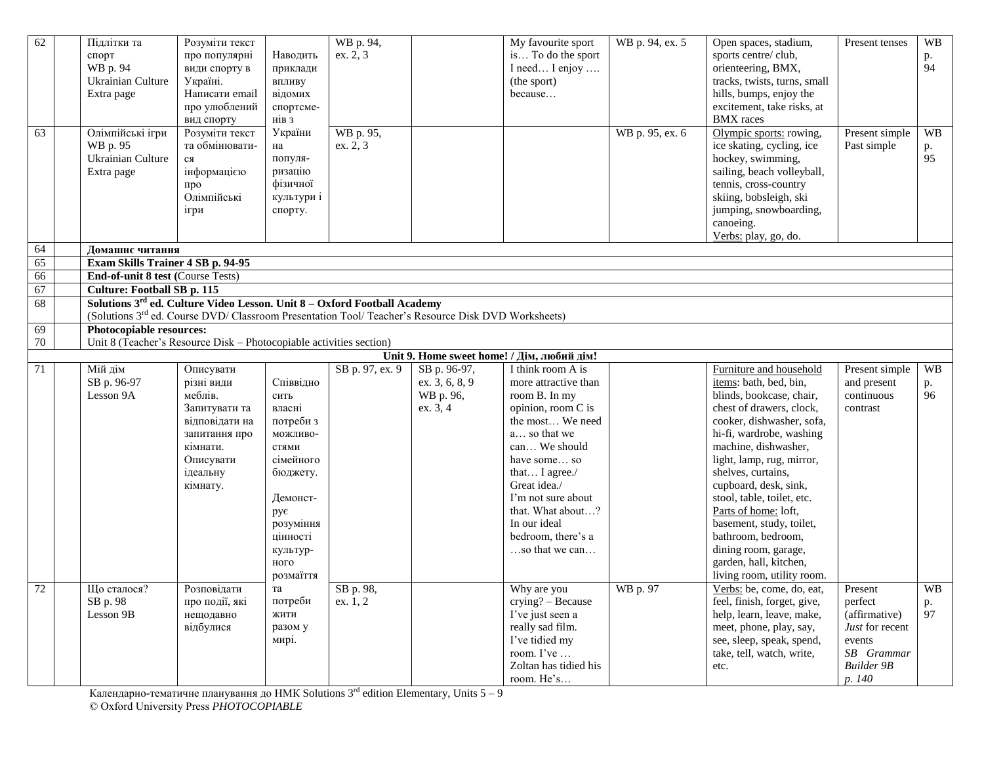| 62       | Підлітки та<br>спорт<br>WB p. 94<br>Ukrainian Culture<br>Extra page | Розуміти текст<br>про популярні<br>види спорту в<br>Україні.<br>Написати email<br>про улюблений<br>вид спорту                                                                                           | Наводить<br>приклади<br>впливу<br>відомих<br>спортсме-<br>нів з                                                                                                     | WB p. 94,<br>ex. 2, 3 |                                                         | My favourite sport<br>is To do the sport<br>I need I enjoy<br>(the sport)<br>because                                                                                                                                                                                                       | WB p. 94, ex. 5 | Open spaces, stadium,<br>sports centre/club,<br>orienteering, BMX,<br>tracks, twists, turns, small<br>hills, bumps, enjoy the<br>excitement, take risks, at<br><b>BMX</b> races                                                                                                                                                                                                                                                                                | Present tenses                                                                                                | <b>WB</b><br>p.<br>94 |
|----------|---------------------------------------------------------------------|---------------------------------------------------------------------------------------------------------------------------------------------------------------------------------------------------------|---------------------------------------------------------------------------------------------------------------------------------------------------------------------|-----------------------|---------------------------------------------------------|--------------------------------------------------------------------------------------------------------------------------------------------------------------------------------------------------------------------------------------------------------------------------------------------|-----------------|----------------------------------------------------------------------------------------------------------------------------------------------------------------------------------------------------------------------------------------------------------------------------------------------------------------------------------------------------------------------------------------------------------------------------------------------------------------|---------------------------------------------------------------------------------------------------------------|-----------------------|
| 63       | Олімпійські ігри<br>WB p. 95<br>Ukrainian Culture<br>Extra page     | Розуміти текст<br>та обмінювати-<br>ся<br>інформацією<br>про<br>Олімпійські<br>ігри                                                                                                                     | України<br>на<br>популя-<br>ризацію<br>фізичної<br>культури і<br>спорту.                                                                                            | WB p. 95,<br>ex. 2, 3 |                                                         |                                                                                                                                                                                                                                                                                            | WB p. 95, ex. 6 | Olympic sports: rowing,<br>ice skating, cycling, ice<br>hockey, swimming,<br>sailing, beach volleyball,<br>tennis, cross-country<br>skiing, bobsleigh, ski<br>jumping, snowboarding,<br>canoeing.<br>Verbs: play, go, do.                                                                                                                                                                                                                                      | Present simple<br>Past simple                                                                                 | <b>WB</b><br>p.<br>95 |
| 64       | Домашнє читання                                                     |                                                                                                                                                                                                         |                                                                                                                                                                     |                       |                                                         |                                                                                                                                                                                                                                                                                            |                 |                                                                                                                                                                                                                                                                                                                                                                                                                                                                |                                                                                                               |                       |
| 65<br>66 | End-of-unit 8 test (Course Tests)                                   | Exam Skills Trainer 4 SB p. 94-95                                                                                                                                                                       |                                                                                                                                                                     |                       |                                                         |                                                                                                                                                                                                                                                                                            |                 |                                                                                                                                                                                                                                                                                                                                                                                                                                                                |                                                                                                               |                       |
| 67       | <b>Culture: Football SB p. 115</b>                                  |                                                                                                                                                                                                         |                                                                                                                                                                     |                       |                                                         |                                                                                                                                                                                                                                                                                            |                 |                                                                                                                                                                                                                                                                                                                                                                                                                                                                |                                                                                                               |                       |
| 68       |                                                                     | Solutions 3 <sup>rd</sup> ed. Culture Video Lesson. Unit 8 - Oxford Football Academy<br>(Solutions 3 <sup>rd</sup> ed. Course DVD/ Classroom Presentation Tool/ Teacher's Resource Disk DVD Worksheets) |                                                                                                                                                                     |                       |                                                         |                                                                                                                                                                                                                                                                                            |                 |                                                                                                                                                                                                                                                                                                                                                                                                                                                                |                                                                                                               |                       |
| 69       | Photocopiable resources:                                            |                                                                                                                                                                                                         |                                                                                                                                                                     |                       |                                                         |                                                                                                                                                                                                                                                                                            |                 |                                                                                                                                                                                                                                                                                                                                                                                                                                                                |                                                                                                               |                       |
| 70       |                                                                     | Unit 8 (Teacher's Resource Disk – Photocopiable activities section)                                                                                                                                     |                                                                                                                                                                     |                       |                                                         |                                                                                                                                                                                                                                                                                            |                 |                                                                                                                                                                                                                                                                                                                                                                                                                                                                |                                                                                                               |                       |
|          |                                                                     |                                                                                                                                                                                                         |                                                                                                                                                                     |                       |                                                         | Unit 9. Home sweet home! / Дім, любий дім!                                                                                                                                                                                                                                                 |                 |                                                                                                                                                                                                                                                                                                                                                                                                                                                                |                                                                                                               |                       |
| 71       | Мій дім<br>SB p. 96-97<br>Lesson 9A                                 | Описувати<br>різні види<br>меблів.<br>Запитувати та<br>відповідати на<br>запитання про<br>кімнати.<br>Описувати<br>ідеальну<br>кімнату.                                                                 | Співвідно<br>сить<br>власні<br>потреби з<br>можливо-<br>стями<br>сімейного<br>бюджету.<br>Демонст-<br>рує<br>розуміння<br>пінності<br>культур-<br>ного<br>розмаїття | SB p. 97, ex. 9       | SB p. 96-97,<br>ex. 3, 6, 8, 9<br>WB p. 96,<br>ex. 3, 4 | I think room A is<br>more attractive than<br>room B. In my<br>opinion, room C is<br>the most We need<br>a so that we<br>can We should<br>have some so<br>that I agree./<br>Great idea./<br>I'm not sure about<br>that. What about?<br>In our ideal<br>bedroom, there's a<br>so that we can |                 | Furniture and household<br>items: bath, bed, bin,<br>blinds, bookcase, chair,<br>chest of drawers, clock,<br>cooker, dishwasher, sofa,<br>hi-fi, wardrobe, washing<br>machine, dishwasher,<br>light, lamp, rug, mirror,<br>shelves, curtains,<br>cupboard, desk, sink,<br>stool, table, toilet, etc.<br>Parts of home: loft,<br>basement, study, toilet,<br>bathroom, bedroom,<br>dining room, garage,<br>garden, hall, kitchen,<br>living room, utility room. | Present simple<br>and present<br>continuous<br>contrast                                                       | <b>WB</b><br>p.<br>96 |
| 72       | Шо сталося?<br>SB p. 98<br>Lesson 9B                                | Розповідати<br>про події, які<br>нещодавно<br>відбулися                                                                                                                                                 | та<br>потреби<br>жити<br>разом у<br>мирі.                                                                                                                           | SB p. 98,<br>ex. 1, 2 |                                                         | Why are you<br>crying? - Because<br>I've just seen a<br>really sad film.<br>I've tidied my<br>room. I've<br>Zoltan has tidied his<br>room. He's                                                                                                                                            | WB p. 97        | Verbs: be, come, do, eat,<br>feel, finish, forget, give,<br>help, learn, leave, make,<br>meet, phone, play, say,<br>see, sleep, speak, spend,<br>take, tell, watch, write,<br>etc.                                                                                                                                                                                                                                                                             | Present<br>perfect<br>(affirmative)<br>Just for recent<br>events<br>SB Grammar<br><b>Builder 9B</b><br>p. 140 | <b>WB</b><br>p.<br>97 |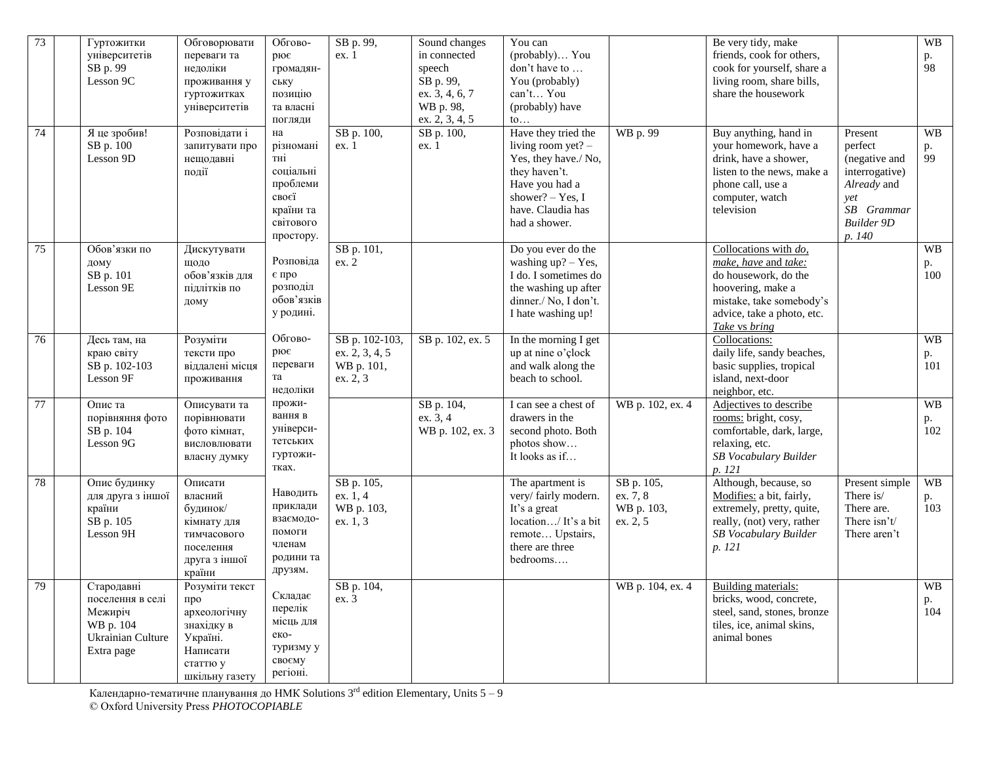| 73 | Гуртожитки<br>університетів<br>SB p. 99<br>Lesson 9C                                      | Обговорювати<br>переваги та<br>недоліки<br>проживання у<br>гуртожитках<br>університетів                   | Обгово-<br>рює<br>громадян-<br>ську<br>позицію<br>та власні<br>погляди                          | SB p. 99,<br>ex.1                                          | Sound changes<br>in connected<br>speech<br>SB p. 99,<br>ex. 3, 4, 6, 7<br>WB p. 98,<br>ex. 2, 3, 4, 5 | You can<br>(probably) You<br>don't have to<br>You (probably)<br>can't You<br>(probably) have<br>$\mathfrak{to} \dots$                                              |                                                  | Be very tidy, make<br>friends, cook for others,<br>cook for yourself, share a<br>living room, share bills,<br>share the housework                                        |                                                                                                                          | <b>WB</b><br>p.<br>98  |
|----|-------------------------------------------------------------------------------------------|-----------------------------------------------------------------------------------------------------------|-------------------------------------------------------------------------------------------------|------------------------------------------------------------|-------------------------------------------------------------------------------------------------------|--------------------------------------------------------------------------------------------------------------------------------------------------------------------|--------------------------------------------------|--------------------------------------------------------------------------------------------------------------------------------------------------------------------------|--------------------------------------------------------------------------------------------------------------------------|------------------------|
| 74 | Я це зробив!<br>SB p. 100<br>Lesson 9D                                                    | Розповідати і<br>запитувати про<br>нещодавні<br>події                                                     | на<br>різномані<br>тні<br>соціальні<br>проблеми<br>своєї<br>країни та<br>світового<br>простору. | SB p. 100,<br>ex.1                                         | SB p. 100,<br>ex.1                                                                                    | Have they tried the<br>living room yet? $-$<br>Yes, they have./ No,<br>they haven't.<br>Have you had a<br>shower? $-$ Yes, I<br>have. Claudia has<br>had a shower. | WB p. 99                                         | Buy anything, hand in<br>your homework, have a<br>drink, have a shower,<br>listen to the news, make a<br>phone call, use a<br>computer, watch<br>television              | Present<br>perfect<br>(negative and<br>interrogative)<br>Already and<br>yet<br>SB Grammar<br><b>Builder 9D</b><br>p. 140 | <b>WB</b><br>p.<br>99  |
| 75 | Обов'язки по<br>дому<br>SB p. 101<br>Lesson 9E                                            | Дискутувати<br>щодо<br>обов'язків для<br>підлітків по<br>дому                                             | Розповіда<br>є про<br>розподіл<br>обов'язків<br>у родині.                                       | SB p. 101,<br>ex. 2                                        |                                                                                                       | Do you ever do the<br>washing $up? - Yes$ ,<br>I do. I sometimes do<br>the washing up after<br>dinner./ No, I don't.<br>I hate washing up!                         |                                                  | Collocations with $do$ ,<br>make, have and take:<br>do housework, do the<br>hoovering, make a<br>mistake, take somebody's<br>advice, take a photo, etc.<br>Take vs bring |                                                                                                                          | <b>WB</b><br>p.<br>100 |
| 76 | Десь там, на<br>краю світу<br>SB p. 102-103<br>Lesson 9F                                  | Розуміти<br>тексти про<br>віддалені місця<br>проживання                                                   | Обгово-<br>рює<br>переваги<br>та<br>недоліки                                                    | SB p. 102-103,<br>ex. 2, 3, 4, 5<br>WB p. 101,<br>ex. 2, 3 | SB p. 102, ex. 5                                                                                      | In the morning I get<br>up at nine o'clock<br>and walk along the<br>beach to school.                                                                               |                                                  | Collocations:<br>daily life, sandy beaches,<br>basic supplies, tropical<br>island, next-door<br>neighbor, etc.                                                           |                                                                                                                          | <b>WB</b><br>p.<br>101 |
| 77 | Опис та<br>порівняння фото<br>SB p. 104<br>Lesson 9G                                      | Описувати та<br>порівнювати<br>фото кімнат,<br>висловлювати<br>власну думку                               | прожи-<br>вання в<br>універси-<br>тетських<br>гуртожи-<br>тках.                                 |                                                            | SB p. 104,<br>ex. 3, 4<br>WB p. 102, ex. 3                                                            | I can see a chest of<br>drawers in the<br>second photo. Both<br>photos show<br>It looks as if                                                                      | WB p. 102, ex. 4                                 | Adjectives to describe<br>rooms: bright, cosy,<br>comfortable, dark, large,<br>relaxing, etc.<br>SB Vocabulary Builder<br>p. 121                                         |                                                                                                                          | <b>WB</b><br>p.<br>102 |
| 78 | Опис будинку<br>для друга з іншої<br>країни<br>SB p. 105<br>Lesson 9H                     | Описати<br>власний<br>будинок/<br>кімнату для<br>тимчасового<br>поселення<br>друга з іншої<br>країни      | Наводить<br>приклади<br>взаємодо-<br>помоги<br>членам<br>родини та<br>друзям.                   | SB p. 105,<br>ex. 1, 4<br>WB p. 103,<br>ex. 1, 3           |                                                                                                       | The apartment is<br>very/fairly modern.<br>It's a great<br>location/ It's a bit<br>remote Upstairs,<br>there are three<br>bedrooms                                 | SB p. 105,<br>ex. 7, 8<br>WB p. 103,<br>ex. 2, 5 | Although, because, so<br>Modifies: a bit, fairly,<br>extremely, pretty, quite,<br>really, (not) very, rather<br>SB Vocabulary Builder<br>p. 121                          | Present simple<br>There is/<br>There are.<br>There $\sin t/$<br>There aren't                                             | <b>WB</b><br>p.<br>103 |
| 79 | Стародавні<br>поселення в селі<br>Межиріч<br>WB p. 104<br>Ukrainian Culture<br>Extra page | Розуміти текст<br>про<br>археологічну<br>знахідку в<br>Україні.<br>Написати<br>статтю у<br>шкільну газету | Складає<br>перелік<br>місць для<br>еко-<br>туризму у<br>своєму<br>регіоні.                      | SB p. 104,<br>ex. 3                                        |                                                                                                       |                                                                                                                                                                    | WB p. 104, ex. 4                                 | Building materials:<br>bricks, wood, concrete,<br>steel, sand, stones, bronze<br>tiles, ice, animal skins,<br>animal bones                                               |                                                                                                                          | <b>WB</b><br>p.<br>104 |